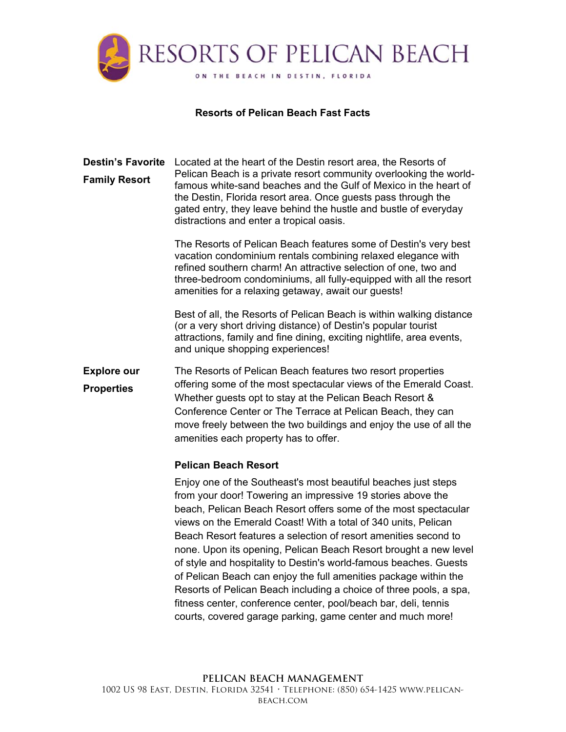

### **Resorts of Pelican Beach Fast Facts**

Destin's Favorite Located at the heart of the Destin resort area, the Resorts of **Family Resort**  Pelican Beach is a private resort community overlooking the worldfamous white-sand beaches and the Gulf of Mexico in the heart of the Destin, Florida resort area. Once guests pass through the gated entry, they leave behind the hustle and bustle of everyday distractions and enter a tropical oasis.

> The Resorts of Pelican Beach features some of Destin's very best vacation condominium rentals combining relaxed elegance with refined southern charm! An attractive selection of one, two and three-bedroom condominiums, all fully-equipped with all the resort amenities for a relaxing getaway, await our guests!

> Best of all, the Resorts of Pelican Beach is within walking distance (or a very short driving distance) of Destin's popular tourist attractions, family and fine dining, exciting nightlife, area events, and unique shopping experiences!

**Explore our Properties**  The Resorts of Pelican Beach features two resort properties offering some of the most spectacular views of the Emerald Coast. Whether guests opt to stay at the Pelican Beach Resort & Conference Center or The Terrace at Pelican Beach, they can move freely between the two buildings and enjoy the use of all the amenities each property has to offer.

#### **Pelican Beach Resort**

Enjoy one of the Southeast's most beautiful beaches just steps from your door! Towering an impressive 19 stories above the beach, Pelican Beach Resort offers some of the most spectacular views on the Emerald Coast! With a total of 340 units, Pelican Beach Resort features a selection of resort amenities second to none. Upon its opening, Pelican Beach Resort brought a new level of style and hospitality to Destin's world-famous beaches. Guests of Pelican Beach can enjoy the full amenities package within the Resorts of Pelican Beach including a choice of three pools, a spa, fitness center, conference center, pool/beach bar, deli, tennis courts, covered garage parking, game center and much more!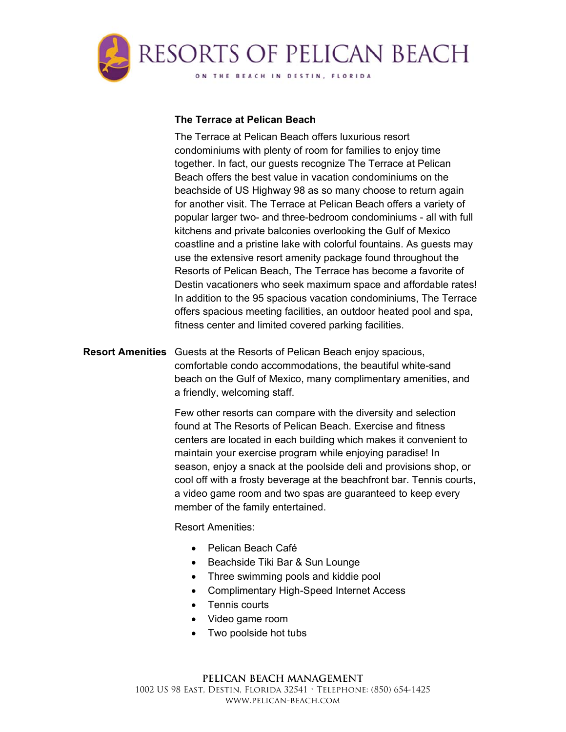

# **The Terrace at Pelican Beach**

The Terrace at Pelican Beach offers luxurious resort condominiums with plenty of room for families to enjoy time together. In fact, our guests recognize The Terrace at Pelican Beach offers the best value in vacation condominiums on the beachside of US Highway 98 as so many choose to return again for another visit. The Terrace at Pelican Beach offers a variety of popular larger two- and three-bedroom condominiums - all with full kitchens and private balconies overlooking the Gulf of Mexico coastline and a pristine lake with colorful fountains. As guests may use the extensive resort amenity package found throughout the Resorts of Pelican Beach, The Terrace has become a favorite of Destin vacationers who seek maximum space and affordable rates! In addition to the 95 spacious vacation condominiums, The Terrace offers spacious meeting facilities, an outdoor heated pool and spa, fitness center and limited covered parking facilities.

**Resort Amenities** Guests at the Resorts of Pelican Beach enjoy spacious, comfortable condo accommodations, the beautiful white-sand beach on the Gulf of Mexico, many complimentary amenities, and a friendly, welcoming staff.

> Few other resorts can compare with the diversity and selection found at The Resorts of Pelican Beach. Exercise and fitness centers are located in each building which makes it convenient to maintain your exercise program while enjoying paradise! In season, enjoy a snack at the poolside deli and provisions shop, or cool off with a frosty beverage at the beachfront bar. Tennis courts, a video game room and two spas are guaranteed to keep every member of the family entertained.

Resort Amenities:

- Pelican Beach Café
- Beachside Tiki Bar & Sun Lounge
- Three swimming pools and kiddie pool
- Complimentary High-Speed Internet Access
- Tennis courts
- Video game room
- Two poolside hot tubs